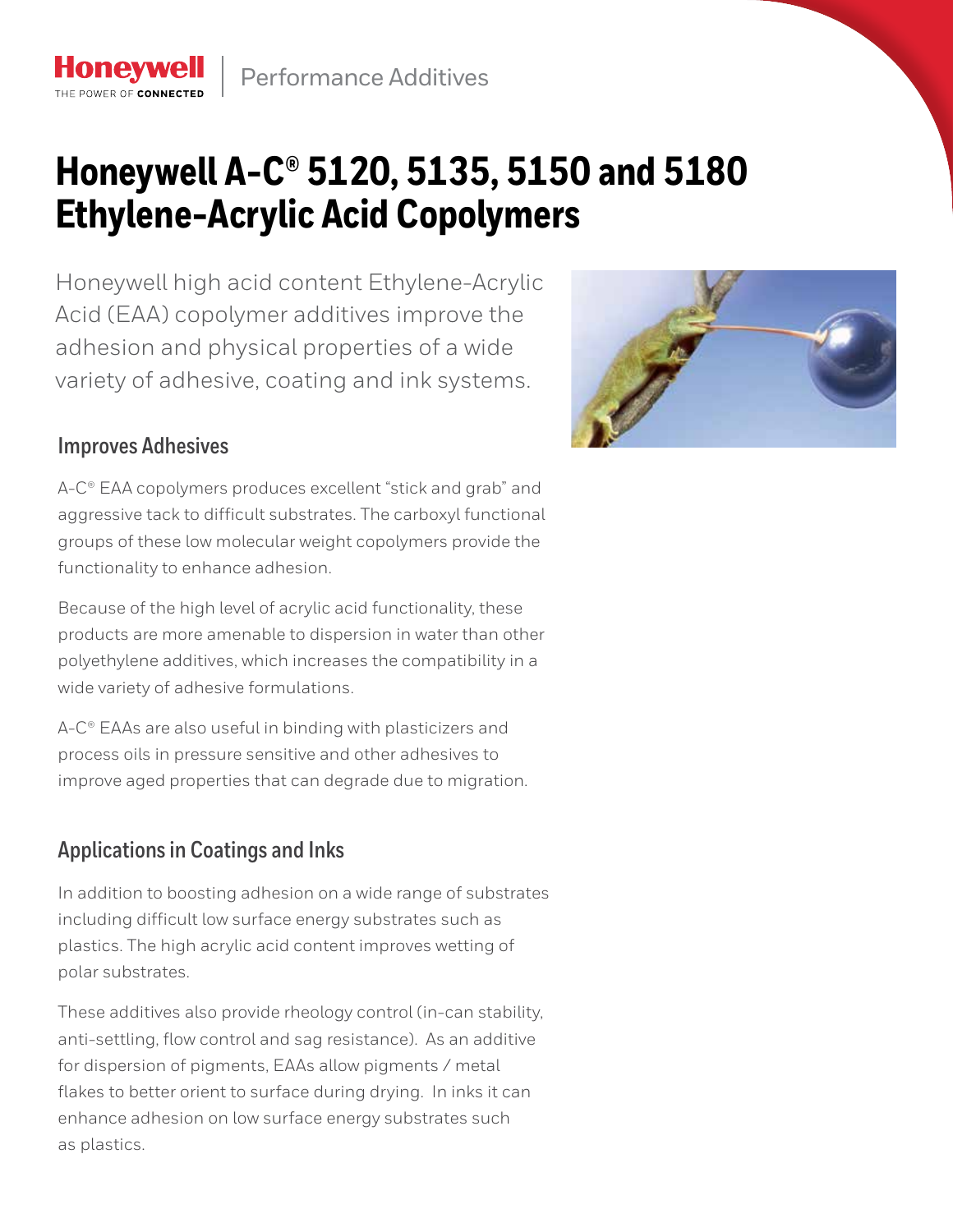# **Honeywell A-C® 5120, 5135, 5150 and 5180 Ethylene-Acrylic Acid Copolymers**

Honeywell high acid content Ethylene-Acrylic Acid (EAA) copolymer additives improve the adhesion and physical properties of a wide variety of adhesive, coating and ink systems.



#### **Improves Adhesives**

THE POWER OF CONNECTE

A-C<sup>®</sup> EAA copolymers produces excellent "stick and grab" and aggressive tack to difficult substrates. The carboxyl functional groups of these low molecular weight copolymers provide the functionality to enhance adhesion.

Because of the high level of acrylic acid functionality, these products are more amenable to dispersion in water than other polyethylene additives, which increases the compatibility in a wide variety of adhesive formulations.

A-C® EAAs are also useful in binding with plasticizers and process oils in pressure sensitive and other adhesives to improve aged properties that can degrade due to migration.

## **Applications in Coatings and Inks**

In addition to boosting adhesion on a wide range of substrates including difficult low surface energy substrates such as plastics. The high acrylic acid content improves wetting of polar substrates.

These additives also provide rheology control (in-can stability, anti-settling, flow control and sag resistance). As an additive for dispersion of pigments, EAAs allow pigments / metal flakes to better orient to surface during drying. In inks it can enhance adhesion on low surface energy substrates such as plastics.